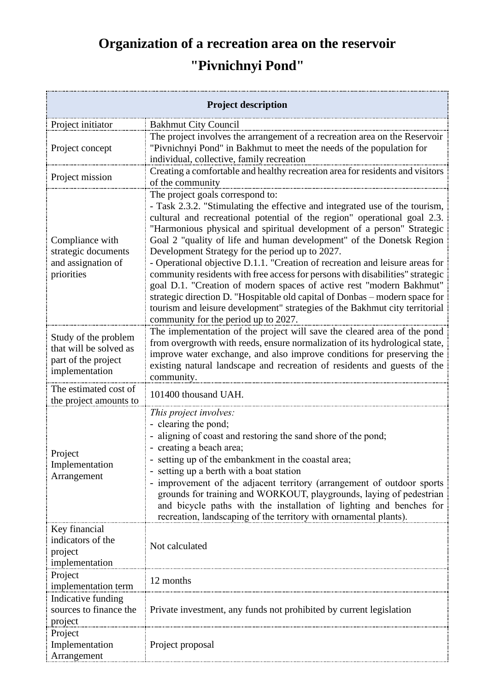## **Organization of a recreation area on the reservoir "Pivnichnyi Pond"**

| <b>Project description</b>                                                              |                                                                                                                                                                                                                                                                                                                                                                                                                                                                                                                                                                                                                                                                                                                                                                                                                                                |
|-----------------------------------------------------------------------------------------|------------------------------------------------------------------------------------------------------------------------------------------------------------------------------------------------------------------------------------------------------------------------------------------------------------------------------------------------------------------------------------------------------------------------------------------------------------------------------------------------------------------------------------------------------------------------------------------------------------------------------------------------------------------------------------------------------------------------------------------------------------------------------------------------------------------------------------------------|
| Project initiator                                                                       | <b>Bakhmut City Council</b>                                                                                                                                                                                                                                                                                                                                                                                                                                                                                                                                                                                                                                                                                                                                                                                                                    |
| Project concept                                                                         | The project involves the arrangement of a recreation area on the Reservoir<br>"Pivnichnyi Pond" in Bakhmut to meet the needs of the population for<br>individual, collective, family recreation                                                                                                                                                                                                                                                                                                                                                                                                                                                                                                                                                                                                                                                |
| Project mission                                                                         | Creating a comfortable and healthy recreation area for residents and visitors<br>of the community                                                                                                                                                                                                                                                                                                                                                                                                                                                                                                                                                                                                                                                                                                                                              |
| Compliance with<br>strategic documents<br>and assignation of<br>priorities              | The project goals correspond to:<br>- Task 2.3.2. "Stimulating the effective and integrated use of the tourism,<br>cultural and recreational potential of the region" operational goal 2.3.<br>"Harmonious physical and spiritual development of a person" Strategic<br>Goal 2 "quality of life and human development" of the Donetsk Region<br>Development Strategy for the period up to 2027.<br>- Operational objective D.1.1. "Creation of recreation and leisure areas for<br>community residents with free access for persons with disabilities" strategic<br>goal D.1. "Creation of modern spaces of active rest "modern Bakhmut"<br>strategic direction D. "Hospitable old capital of Donbas - modern space for<br>tourism and leisure development" strategies of the Bakhmut city territorial<br>community for the period up to 2027. |
| Study of the problem<br>that will be solved as<br>part of the project<br>implementation | The implementation of the project will save the cleared area of the pond<br>from overgrowth with reeds, ensure normalization of its hydrological state,<br>improve water exchange, and also improve conditions for preserving the<br>existing natural landscape and recreation of residents and guests of the<br>community.                                                                                                                                                                                                                                                                                                                                                                                                                                                                                                                    |
| The estimated cost of<br>the project amounts to                                         | 101400 thousand UAH.                                                                                                                                                                                                                                                                                                                                                                                                                                                                                                                                                                                                                                                                                                                                                                                                                           |
| Project<br>Implementation<br>Arrangement                                                | This project involves:<br>- clearing the pond;<br>- aligning of coast and restoring the sand shore of the pond;<br>- creating a beach area;<br>setting up of the embankment in the coastal area;<br>setting up a berth with a boat station<br>improvement of the adjacent territory (arrangement of outdoor sports<br>grounds for training and WORKOUT, playgrounds, laying of pedestrian<br>and bicycle paths with the installation of lighting and benches for<br>recreation, landscaping of the territory with ornamental plants).                                                                                                                                                                                                                                                                                                          |
| Key financial<br>indicators of the<br>project<br>implementation<br>Project              | Not calculated                                                                                                                                                                                                                                                                                                                                                                                                                                                                                                                                                                                                                                                                                                                                                                                                                                 |
| implementation term<br>Indicative funding<br>sources to finance the                     | 12 months<br>Private investment, any funds not prohibited by current legislation                                                                                                                                                                                                                                                                                                                                                                                                                                                                                                                                                                                                                                                                                                                                                               |
| project<br>Project<br>Implementation<br>Arrangement                                     | Project proposal                                                                                                                                                                                                                                                                                                                                                                                                                                                                                                                                                                                                                                                                                                                                                                                                                               |